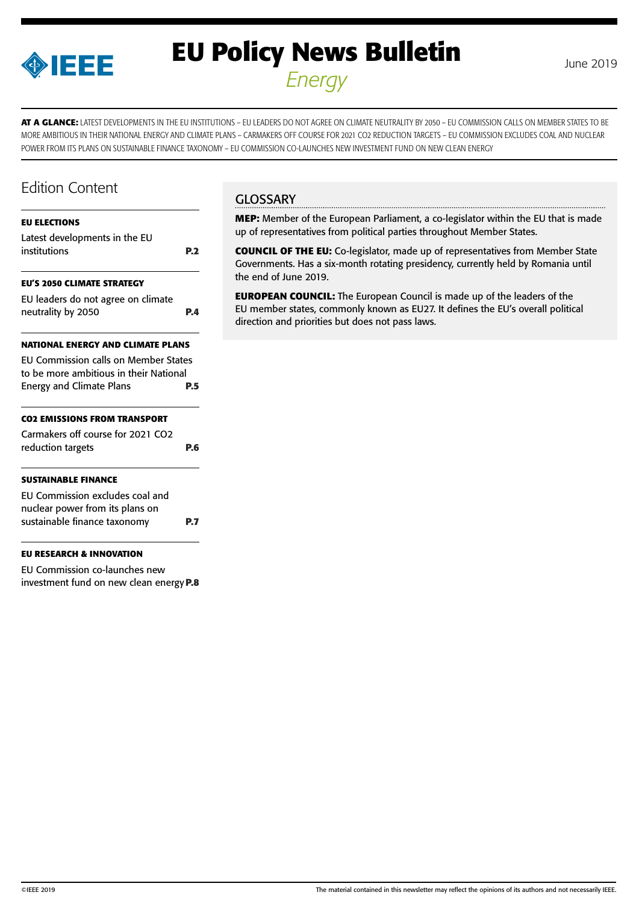

# **EU Policy News Bulletin** June 2019 *Energy*

**AT A GLANCE:** LATEST DEVELOPMENTS IN THE EU INSTITUTIONS – EU LEADERS DO NOT AGREE ON CLIMATE NEUTRALITY BY 2050 – EU COMMISSION CALLS ON MEMBER STATES TO BE MORE AMBITIOUS IN THEIR NATIONAL ENERGY AND CLIMATE PLANS – CARMAKERS OFF COURSE FOR 2021 CO2 REDUCTION TARGETS – EU COMMISSION EXCLUDES COAL AND NUCLEAR POWER FROM ITS PLANS ON SUSTAINABLE FINANCE TAXONOMY – EU COMMISSION CO-LAUNCHES NEW INVESTMENT FUND ON NEW CLEAN ENERGY

### Edition Content

#### **[EU ELECTIONS](#page-1-0)**

| Latest developments in the EU<br>institutions                                                                            | P.2 |
|--------------------------------------------------------------------------------------------------------------------------|-----|
| <b>EU'S 2050 CLIMATE STRATEGY</b>                                                                                        |     |
| EU leaders do not agree on climate<br>neutrality by 2050                                                                 | P.4 |
| NATIONAL ENERGY AND CLIMATE PLANS                                                                                        |     |
| <b>EU Commission calls on Member States</b><br>to be more ambitious in their National<br><b>Energy and Climate Plans</b> | P.5 |
| <b>CO2 EMISSIONS FROM TRANSPORT</b>                                                                                      |     |
| Carmakers off course for 2021 CO2<br>reduction targets                                                                   | P.6 |
| <b>SUSTAINABLE FINANCE</b>                                                                                               |     |
| EU Commission excludes coal and<br>nuclear power from its plans on                                                       |     |

**[EU RESEARCH & INNOVATION](#page-7-0)** 

[EU Commission co-launches new](#page-7-0)  [investment fund on new clean energy](#page-7-0)**P.8**

[sustainable finance taxonomy](#page-6-0) **P.7**

#### **GLOSSARY**

**MEP:** Member of the European Parliament, a co-legislator within the EU that is made up of representatives from political parties throughout Member States.

**COUNCIL OF THE EU:** Co-legislator, made up of representatives from Member State Governments. Has a six-month rotating presidency, currently held by Romania until the end of June 2019.

**EUROPEAN COUNCIL:** The European Council is made up of the leaders of the EU member states, commonly known as EU27. It defines the EU's overall political direction and priorities but does not pass laws.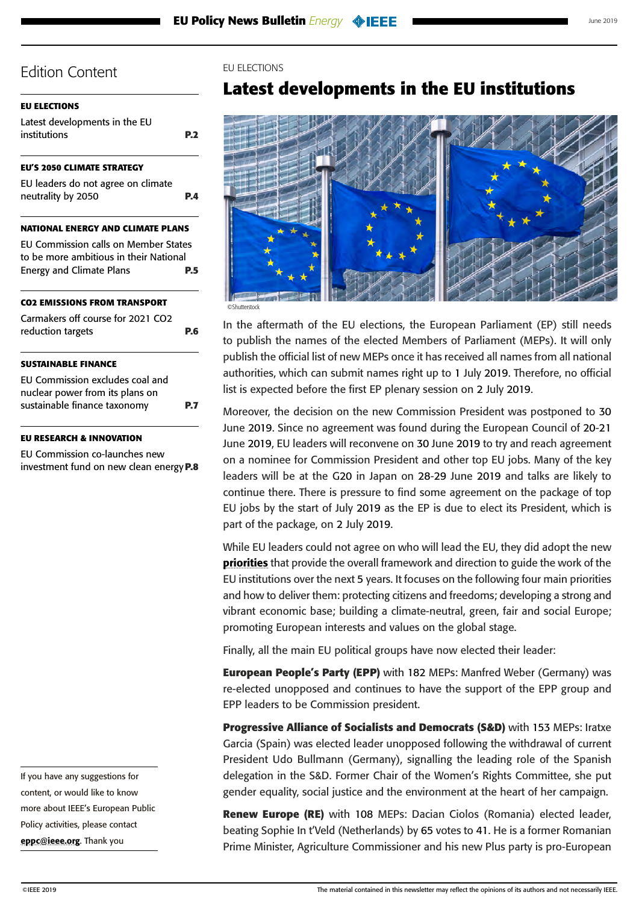#### <span id="page-1-0"></span>**EU ELECTIONS**

Latest developments in the EU institutions **P.2**

#### **[EU'S 2050 CLIMATE STRATEGY](#page-3-0)**

[EU leaders do not agree on climate](#page-3-0)  [neutrality by 2050](#page-3-0) **P.4**

#### **[NATIONAL ENERGY AND CLIMATE PLANS](#page-4-0)**

[EU Commission calls on Member States](#page-4-0)  [to be more ambitious in their National](#page-4-0)  [Energy and Climate Plans](#page-4-0) **P.5**

#### **[CO2 EMISSIONS FROM TRANSPORT](#page-5-0)**

| Carmakers off course for 2021 CO2 |     |
|-----------------------------------|-----|
| reduction targets                 | P.6 |

#### **[SUSTAINABLE FINANCE](#page-6-0)**

| EU Commission excludes coal and |            |
|---------------------------------|------------|
| nuclear power from its plans on |            |
| sustainable finance taxonomy    | <b>P.7</b> |

#### **[EU RESEARCH & INNOVATION](#page-7-0)**

[EU Commission co-launches new](#page-7-0)  [investment fund on new clean energy](#page-7-0)**P.8**

If you have any suggestions for content, or would like to know more about IEEE's European Public Policy activities, please contact [eppc@ieee.org](mailto:eppc%40ieee.org?subject=). Thank you

#### EU ELECTIONS

### **Latest developments in the EU institutions**



In the aftermath of the EU elections, the European Parliament (EP) still needs to publish the names of the elected Members of Parliament (MEPs). It will only publish the official list of new MEPs once it has received all names from all national authorities, which can submit names right up to 1 July 2019. Therefore, no official list is expected before the first EP plenary session on 2 July 2019.

Moreover, the decision on the new Commission President was postponed to 30 June 2019. Since no agreement was found during the European Council of 20-21 June 2019, EU leaders will reconvene on 30 June 2019 to try and reach agreement on a nominee for Commission President and other top EU jobs. Many of the key leaders will be at the G20 in Japan on 28-29 June 2019 and talks are likely to continue there. There is pressure to find some agreement on the package of top EU jobs by the start of July 2019 as the EP is due to elect its President, which is part of the package, on 2 July 2019.

While EU leaders could not agree on who will lead the EU, they did adopt the new **[priorities](https://www.consilium.europa.eu/media/39914/a-new-strategic-agenda-2019-2024.pdf)** that provide the overall framework and direction to guide the work of the EU institutions over the next 5 years. It focuses on the following four main priorities and how to deliver them: protecting citizens and freedoms; developing a strong and vibrant economic base; building a climate-neutral, green, fair and social Europe; promoting European interests and values on the global stage.

Finally, all the main EU political groups have now elected their leader:

**European People's Party (EPP)** with 182 MEPs: Manfred Weber (Germany) was re-elected unopposed and continues to have the support of the EPP group and EPP leaders to be Commission president.

**Progressive Alliance of Socialists and Democrats (S&D)** with 153 MEPs: Iratxe Garcia (Spain) was elected leader unopposed following the withdrawal of current President Udo Bullmann (Germany), signalling the leading role of the Spanish delegation in the S&D. Former Chair of the Women's Rights Committee, she put gender equality, social justice and the environment at the heart of her campaign.

**Renew Europe (RE)** with 108 MEPs: Dacian Ciolos (Romania) elected leader, beating Sophie In t'Veld (Netherlands) by 65 votes to 41. He is a former Romanian Prime Minister, Agriculture Commissioner and his new Plus party is pro-European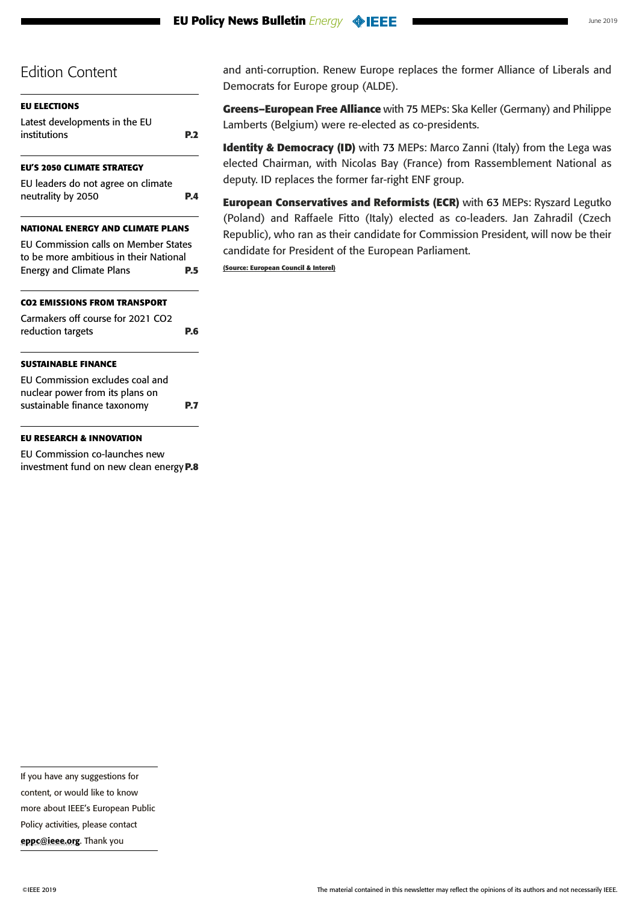| <b>EU ELECTIONS</b>                                                                   |            |
|---------------------------------------------------------------------------------------|------------|
| Latest developments in the EU<br>institutions                                         | <b>P.2</b> |
| <b>EU'S 2050 CLIMATE STRATEGY</b>                                                     |            |
| EU leaders do not agree on climate<br>neutrality by 2050                              | P.4        |
| <b>NATIONAL ENERGY AND CLIMATE PLANS</b>                                              |            |
| <b>EU Commission calls on Member States</b><br>to be more ambitious in their National |            |
| <b>Energy and Climate Plans</b>                                                       | P.5        |
| <b>CO2 EMISSIONS FROM TRANSPORT</b>                                                   |            |
| Carmakers off course for 2021 CO2<br>reduction targets                                | P.6        |
| <b>SUSTAINABLE FINANCE</b>                                                            |            |
| EU Commission excludes coal and<br>nuclear power from its plans on                    |            |
| sustainable finance taxonomy                                                          | P.7        |
| <b>EU RESEARCH &amp; INNOVATION</b>                                                   |            |
| $FII$ Commission so lounghos                                                          |            |

[EU Commission co-launches new](#page-7-0)  [investment fund on new clean energy](#page-7-0)**P.8** and anti-corruption. Renew Europe replaces the former Alliance of Liberals and Democrats for Europe group (ALDE).

**Greens–European Free Alliance** with 75 MEPs: Ska Keller (Germany) and Philippe Lamberts (Belgium) were re-elected as co-presidents.

**Identity & Democracy (ID)** with 73 MEPs: Marco Zanni (Italy) from the Lega was elected Chairman, with Nicolas Bay (France) from Rassemblement National as deputy. ID replaces the former far-right ENF group.

**European Conservatives and Reformists (ECR)** with 63 MEPs: Ryszard Legutko (Poland) and Raffaele Fitto (Italy) elected as co-leaders. Jan Zahradil (Czech Republic), who ran as their candidate for Commission President, will now be their candidate for President of the European Parliament.

**(Source: European Council & Interel)**

more about IEEE's European Public

Policy activities, please contact

[eppc@ieee.org](mailto:eppc%40ieee.org?subject=). Thank you

If you have any suggestions for content, or would like to know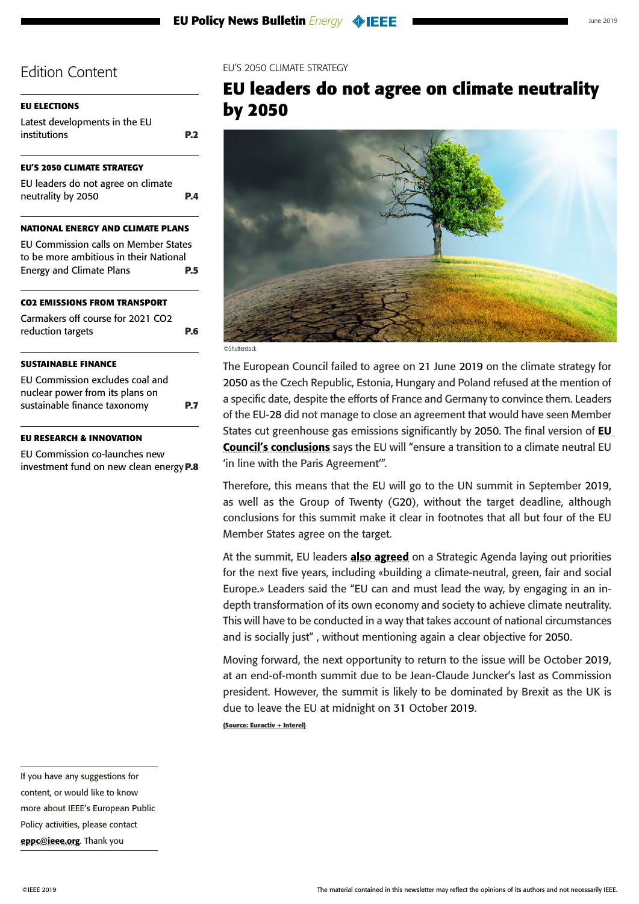<span id="page-3-0"></span>

| <b>EU ELECTIONS</b>                         |            |
|---------------------------------------------|------------|
| Latest developments in the EU               |            |
| institutions                                | <b>P.2</b> |
| <b>EU'S 2050 CLIMATE STRATEGY</b>           |            |
| EU leaders do not agree on climate          |            |
| neutrality by 2050                          | P.4        |
| <b>NATIONAL ENERGY AND CLIMATE PLANS</b>    |            |
| <b>EU Commission calls on Member States</b> |            |
| to be more ambitious in their National      |            |
| <b>Energy and Climate Plans</b>             | P.5        |
| <b>CO2 EMISSIONS FROM TRANSPORT</b>         |            |
| Carmakers off course for 2021 CO2           |            |
| reduction targets                           | P.6        |
| <b>SUSTAINABLE FINANCE</b>                  |            |
| EU Commission excludes coal and             |            |
| nuclear power from its plans on             |            |
| sustainable finance taxonomy                | P.7        |
| EII DECEADAH 2. INNOVATION                  |            |

#### **[EU RESEARCH & INNOVATION](#page-7-0)**

[EU Commission co-launches new](#page-7-0)  [investment fund on new clean energy](#page-7-0)**P.8** EU'S 2050 CLIMATE STRATEGY

# **EU leaders do not agree on climate neutrality by 2050**



©Shutterstock

The European Council failed to agree on 21 June 2019 on the climate strategy for 2050 as the Czech Republic, Estonia, Hungary and Poland refused at the mention of a specific date, despite the efforts of France and Germany to convince them. Leaders of the EU-28 did not manage to close an agreement that would have seen Member States cut greenhouse gas emissions significantly by 2050. The final version of **EU** [Council's conclusions](https://www.consilium.europa.eu/en/press/press-releases/2019/06/20/european-council-conclusions-20-june-2019/) says the EU will "ensure a transition to a climate neutral EU 'in line with the Paris Agreement'".

Therefore, this means that the EU will go to the UN summit in September 2019, as well as the Group of Twenty (G20), without the target deadline, although conclusions for this summit make it clear in footnotes that all but four of the EU Member States agree on the target.

At the summit, EU leaders **[also agreed](http://dsms.consilium.europa.eu/952/Actions/Newsletter.aspx?messageid=34145&customerid=31245&password=enc_364744613831375553743350_enc)** on a Strategic Agenda laying out priorities for the next five years, including «building a climate-neutral, green, fair and social Europe.» Leaders said the "EU can and must lead the way, by engaging in an indepth transformation of its own economy and society to achieve climate neutrality. This will have to be conducted in a way that takes account of national circumstances and is socially just" , without mentioning again a clear objective for 2050.

Moving forward, the next opportunity to return to the issue will be October 2019, at an end-of-month summit due to be Jean-Claude Juncker's last as Commission president. However, the summit is likely to be dominated by Brexit as the UK is due to leave the EU at midnight on 31 October 2019.

**(Source: Euractiv + Interel)**

If you have any suggestions for content, or would like to know more about IEEE's European Public Policy activities, please contact [eppc@ieee.org](mailto:eppc%40ieee.org?subject=). Thank you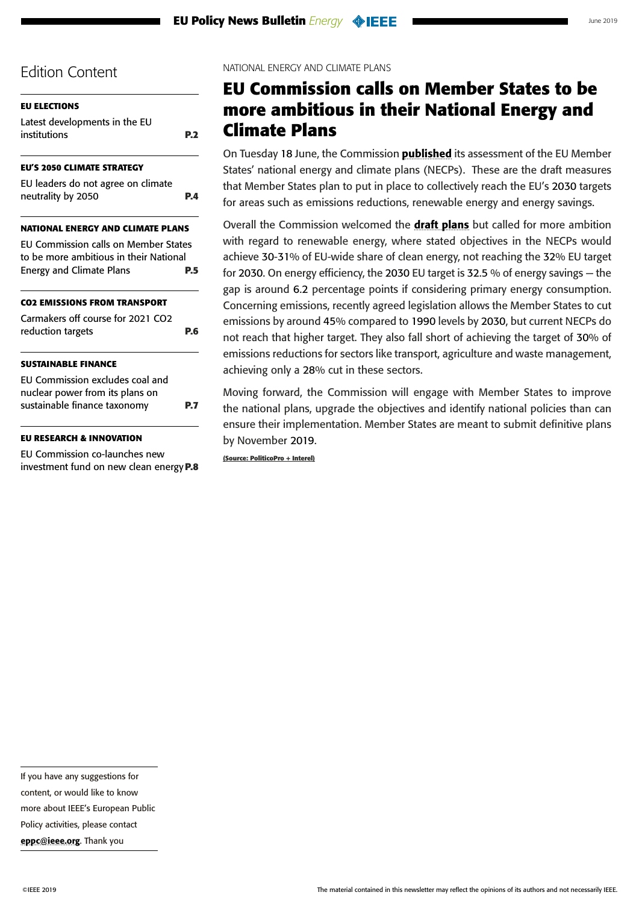<span id="page-4-0"></span>

| <b>EU ELECTIONS</b>                         |            |
|---------------------------------------------|------------|
| Latest developments in the EU               |            |
| institutions                                | <b>P.2</b> |
| <b>EU'S 2050 CLIMATE STRATEGY</b>           |            |
|                                             |            |
| EU leaders do not agree on climate          |            |
| neutrality by 2050                          | P.4        |
| <b>NATIONAL ENERGY AND CLIMATE PLANS</b>    |            |
| <b>EU Commission calls on Member States</b> |            |
| to be more ambitious in their National      |            |
| <b>Energy and Climate Plans</b>             | P.5        |
|                                             |            |
| <b>CO2 EMISSIONS FROM TRANSPORT</b>         |            |
| Carmakers off course for 2021 CO2           |            |
| reduction targets                           | P.6        |
|                                             |            |
| <b>SUSTAINABLE FINANCE</b>                  |            |
| EU Commission excludes coal and             |            |
| nuclear power from its plans on             |            |
| sustainable finance taxonomy                | P.7        |
|                                             |            |
| <b>EU RESEARCH &amp; INNOVATION</b>         |            |
|                                             |            |

[EU Commission co-launches new](#page-7-0)  [investment fund on new clean energy](#page-7-0)**P.8**

#### NATIONAL ENERGY AND CLIMATE PLANS

## **EU Commission calls on Member States to be more ambitious in their National Energy and Climate Plans**

On Tuesday 18 June, the Commission **[published](https://ec.europa.eu/energy/sites/ener/files/documents/recommondation_en.pdf)** its assessment of the EU Member States' national energy and climate plans (NECPs). These are the draft measures that Member States plan to put in place to collectively reach the EU's 2030 targets for areas such as emissions reductions, renewable energy and energy savings.

Overall the Commission welcomed the **[draft plans](https://ec.europa.eu/energy/en/topics/energy-strategy-and-energy-union/governance-energy-union/national-energy-climate-plans)** but called for more ambition with regard to renewable energy, where stated objectives in the NECPs would achieve 30-31% of EU-wide share of clean energy, not reaching the 32% EU target for 2030. On energy efficiency, the 2030 EU target is 32.5 % of energy savings — the gap is around 6.2 percentage points if considering primary energy consumption. Concerning emissions, recently agreed legislation allows the Member States to cut emissions by around 45% compared to 1990 levels by 2030, but current NECPs do not reach that higher target. They also fall short of achieving the target of 30% of emissions reductions for sectors like transport, agriculture and waste management, achieving only a 28% cut in these sectors.

Moving forward, the Commission will engage with Member States to improve the national plans, upgrade the objectives and identify national policies than can ensure their implementation. Member States are meant to submit definitive plans by November 2019.

**(Source: PoliticoPro + Interel)**

If you have any suggestions for

content, or would like to know

more about IEEE's European Public

Policy activities, please contact

[eppc@ieee.org](mailto:eppc%40ieee.org?subject=). Thank you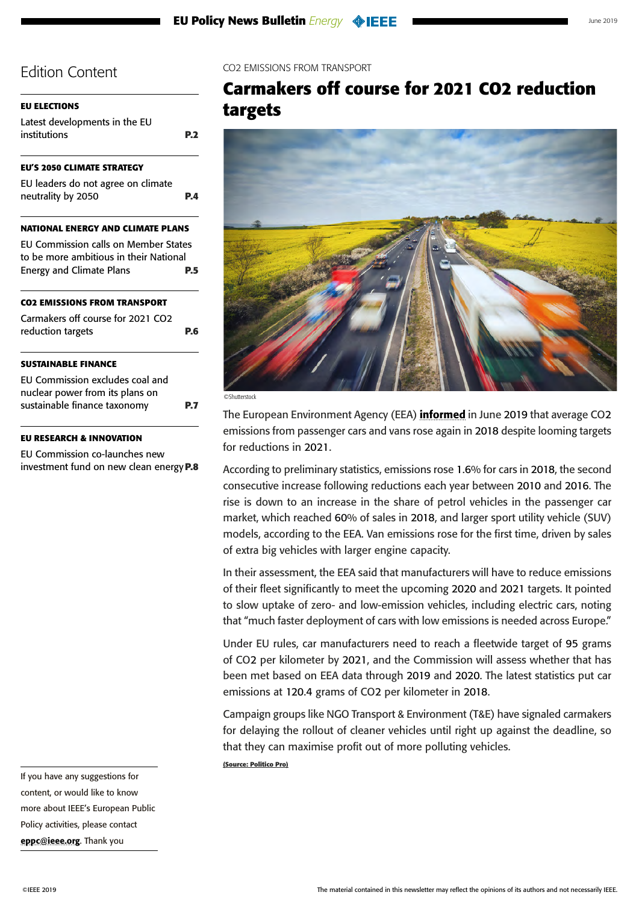<span id="page-5-0"></span>

| <b>EU ELECTIONS</b>                                      |     |
|----------------------------------------------------------|-----|
| Latest developments in the EU<br>institutions            | P.2 |
| <b>EU'S 2050 CLIMATE STRATEGY</b>                        |     |
| EU leaders do not agree on climate<br>neutrality by 2050 | PΔ  |
| <b>NATIONAL ENERGY AND CLIMATE PLANS</b>                 |     |
| <b>EU Commission calls on Member States</b>              |     |
| to be more ambitious in their National                   |     |
| <b>Energy and Climate Plans</b>                          | P.5 |
| <b>CO2 EMISSIONS FROM TRANSPORT</b>                      |     |
| Carmakers off course for 2021 CO2                        |     |
| reduction targets                                        | P.6 |
| <b>SUSTAINABLE FINANCE</b>                               |     |
| EU Commission excludes coal and                          |     |
| nuclear power from its plans on                          |     |
| sustainable finance taxonomy                             | Р.7 |
|                                                          |     |

#### **[EU RESEARCH & INNOVATION](#page-7-0)**

[EU Commission co-launches new](#page-7-0)  [investment fund on new clean energy](#page-7-0)**P.8**

If you have any suggestions for content, or would like to know more about IEEE's European Public Policy activities, please contact [eppc@ieee.org](mailto:eppc%40ieee.org?subject=). Thank you

CO2 EMISSIONS FROM TRANSPORT

### **Carmakers off course for 2021 CO2 reduction targets**



©Shutterstock

The European Environment Agency (EEA) **[informed](https://www.eea.europa.eu/highlights/average-co2-emissions-from-new)** in June 2019 that average CO2 emissions from passenger cars and vans rose again in 2018 despite looming targets for reductions in 2021.

According to preliminary statistics, emissions rose 1.6% for cars in 2018, the second consecutive increase following reductions each year between 2010 and 2016. The rise is down to an increase in the share of petrol vehicles in the passenger car market, which reached 60% of sales in 2018, and larger sport utility vehicle (SUV) models, according to the EEA. Van emissions rose for the first time, driven by sales of extra big vehicles with larger engine capacity.

In their assessment, the EEA said that manufacturers will have to reduce emissions of their fleet significantly to meet the upcoming 2020 and 2021 targets. It pointed to slow uptake of zero- and low-emission vehicles, including electric cars, noting that "much faster deployment of cars with low emissions is needed across Europe."

Under EU rules, car manufacturers need to reach a fleetwide target of 95 grams of CO2 per kilometer by 2021, and the Commission will assess whether that has been met based on EEA data through 2019 and 2020. The latest statistics put car emissions at 120.4 grams of CO2 per kilometer in 2018.

Campaign groups like NGO Transport & Environment (T&E) have signaled carmakers for delaying the rollout of cleaner vehicles until right up against the deadline, so that they can maximise profit out of more polluting vehicles.

**(Source: Politico Pro)**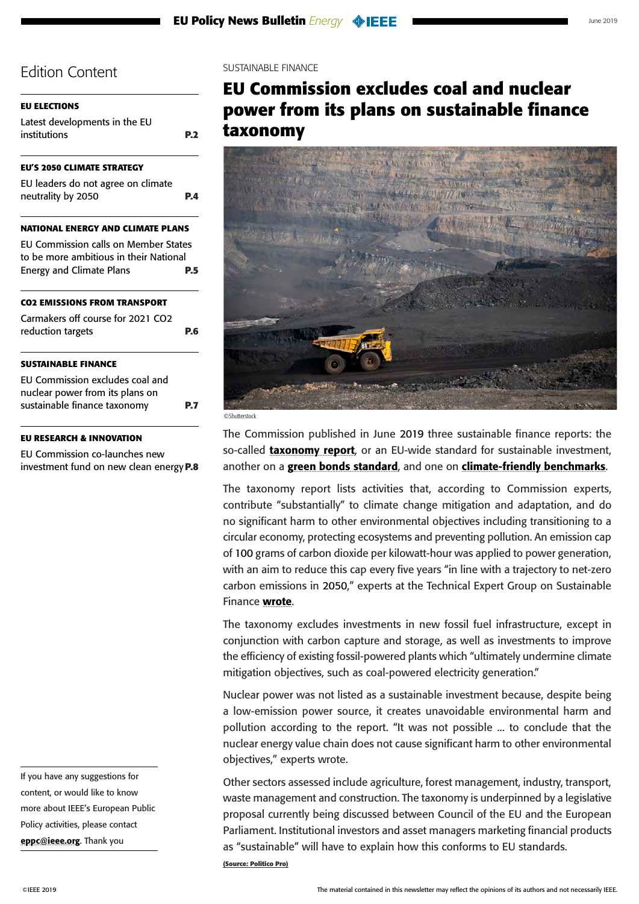<span id="page-6-0"></span>

| <b>EU ELECTIONS</b>                                                                   |                |
|---------------------------------------------------------------------------------------|----------------|
| Latest developments in the EU<br>institutions                                         | P <sub>2</sub> |
| <b>EU'S 2050 CLIMATE STRATEGY</b>                                                     |                |
| EU leaders do not agree on climate<br>neutrality by 2050                              | PД             |
| NATIONAL ENERGY AND CLIMATE PLANS                                                     |                |
| <b>EU Commission calls on Member States</b><br>to be more ambitious in their National |                |
| <b>Energy and Climate Plans</b>                                                       | P.5            |
| <b>CO2 EMISSIONS FROM TRANSPORT</b>                                                   |                |
| Carmakers off course for 2021 CO2                                                     |                |
| reduction targets                                                                     | P.6            |
| <b>SUSTAINABLE FINANCE</b>                                                            |                |
| EU Commission excludes coal and                                                       |                |
| nuclear power from its plans on                                                       |                |
| sustainable finance taxonomy                                                          |                |
|                                                                                       |                |

#### **[EU RESEARCH & INNOVATION](#page-7-0)**

[EU Commission co-launches new](#page-7-0)  [investment fund on new clean energy](#page-7-0)**P.8**

If you have any suggestions for content, or would like to know more about IEEE's European Public Policy activities, please contact [eppc@ieee.org](mailto:eppc%40ieee.org?subject=). Thank you

#### SUSTAINABLE FINANCE

# **EU Commission excludes coal and nuclear power from its plans on sustainable finance taxonomy**



©Shutterstock

The Commission published in June 2019 three sustainable finance reports: the so-called **[taxonomy report](https://g8fip1kplyr33r3krz5b97d1-wpengine.netdna-ssl.com/wp-content/uploads/2019/06/TAXONOMY-technical-report.pdf)**, or an EU-wide standard for sustainable investment, another on a [green bonds standard](https://g8fip1kplyr33r3krz5b97d1-wpengine.netdna-ssl.com/wp-content/uploads/2019/06/EU-GREEN-BOND-STANDARD.pdf), and one on [climate-friendly benchmarks](https://g8fip1kplyr33r3krz5b97d1-wpengine.netdna-ssl.com/wp-content/uploads/2019/06/BENCHMARKS-report.pdf).

The taxonomy report lists activities that, according to Commission experts, contribute "substantially" to climate change mitigation and adaptation, and do no significant harm to other environmental objectives including transitioning to a circular economy, protecting ecosystems and preventing pollution. An emission cap of 100 grams of carbon dioxide per kilowatt-hour was applied to power generation, with an aim to reduce this cap every five years "in line with a trajectory to net-zero carbon emissions in 2050," experts at the Technical Expert Group on Sustainable Finance [wrote](https://g8fip1kplyr33r3krz5b97d1-wpengine.netdna-ssl.com/wp-content/uploads/2019/06/TAXONOMY-experts-note.pdf).

The taxonomy excludes investments in new fossil fuel infrastructure, except in conjunction with carbon capture and storage, as well as investments to improve the efficiency of existing fossil-powered plants which "ultimately undermine climate mitigation objectives, such as coal-powered electricity generation."

Nuclear power was not listed as a sustainable investment because, despite being a low-emission power source, it creates unavoidable environmental harm and pollution according to the report. "It was not possible ... to conclude that the nuclear energy value chain does not cause significant harm to other environmental objectives," experts wrote.

Other sectors assessed include agriculture, forest management, industry, transport, waste management and construction. The taxonomy is underpinned by a legislative proposal currently being discussed between Council of the EU and the European Parliament. Institutional investors and asset managers marketing financial products as "sustainable" will have to explain how this conforms to EU standards.

**(Source: Politico Pro)**